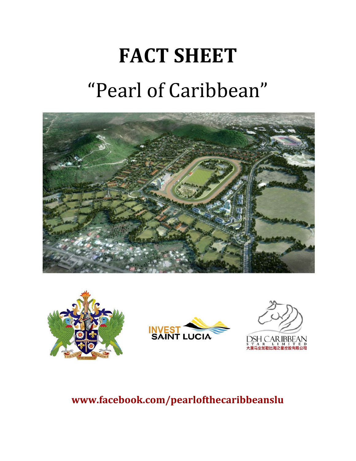# **FACT SHEET** "Pearl of Caribbean"









# **www.facebook.com/pearlofthecaribbeanslu**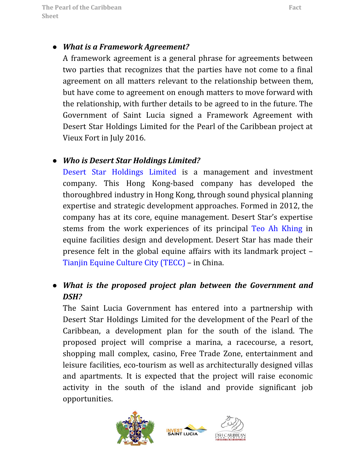#### *● What is a Framework Agreement?*

A framework agreement is a general phrase for agreements between two parties that recognizes that the parties have not come to a final agreement on all matters relevant to the relationship between them, but have come to agreement on enough matters to move forward with the relationship, with further details to be agreed to in the future. The Government of Saint Lucia signed a Framework Agreement with Desert Star Holdings Limited for the Pearl of the Caribbean project at Vieux Fort in July 2016.

#### *● Who is Desert Star Holdings Limited?*

Desert Star [Holdings](http://www.desertstarholdings.com/) Limited is a management and investment company. This Hong Kong-based company has developed the thoroughbred industry in Hong Kong, through sound physical planning expertise and strategic development approaches. Formed in 2012, the company has at its core, equine management. Desert Star's expertise stems from the work experiences of its principal Teo Ah [Khing](https://www.tak.com.my/leadership.html) in equine facilities design and development. Desert Star has made their presence felt in the global equine affairs with its landmark project – [Tianjin Equine Culture City \(TECC\)](https://nagstats.wordpress.com/2014/05/02/tianjin-equine-culture-city-tecc-in-china/) – in China.

# *● What is the proposed project plan between the Government and DSH?*

The Saint Lucia Government has entered into a partnership with Desert Star Holdings Limited for the development of the Pearl of the Caribbean, a development plan for the south of the island. The proposed project will comprise a marina, a racecourse, a resort, shopping mall complex, casino, Free Trade Zone, entertainment and leisure facilities, eco-tourism as well as architecturally designed villas and apartments. It is expected that the project will raise economic activity in the south of the island and provide significant job opportunities.



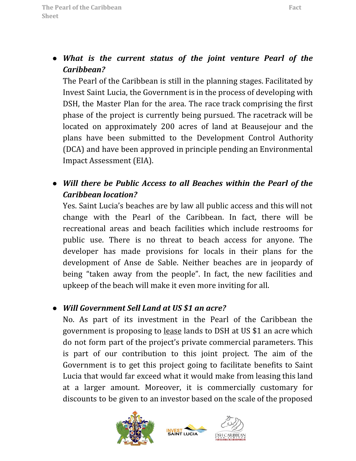*● What is the current status of the joint venture Pearl of the Caribbean?*

The Pearl of the Caribbean is still in the planning stages. Facilitated by Invest Saint Lucia, the Government is in the process of developing with DSH, the Master Plan for the area. The race track comprising the first phase of the project is currently being pursued. The racetrack will be located on approximately 200 acres of land at Beausejour and the plans have been submitted to the Development Control Authority (DCA) and have been approved in principle pending an Environmental Impact Assessment (EIA).

*● Will there be Public Access to all Beaches within the Pearl of the Caribbean location?*

Yes. Saint Lucia's beaches are by law all public access and this will not change with the Pearl of the Caribbean. In fact, there will be recreational areas and beach facilities which include restrooms for public use. There is no threat to beach access for anyone. The developer has made provisions for locals in their plans for the development of Anse de Sable. Neither beaches are in jeopardy of being "taken away from the people". In fact, the new facilities and upkeep of the beach will make it even more inviting for all.

#### *● Will Government Sell Land at US \$1 an acre?*

No. As part of its investment in the Pearl of the Caribbean the government is proposing to lease lands to DSH at US \$1 an acre which do not form part of the project's private commercial parameters. This is part of our contribution to this joint project. The aim of the Government is to get this project going to facilitate benefits to Saint Lucia that would far exceed what it would make from leasing this land at a larger amount. Moreover, it is commercially customary for discounts to be given to an investor based on the scale of the proposed



**INVEST LUCIA** 

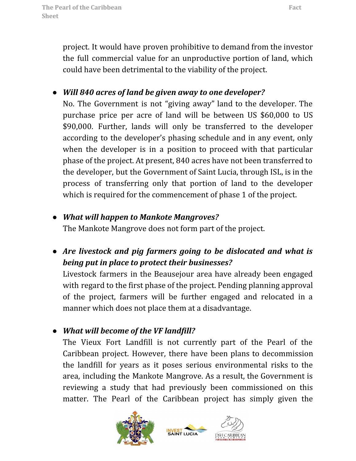project. It would have proven prohibitive to demand from the investor the full commercial value for an unproductive portion of land, which could have been detrimental to the viability of the project.

# *● Will 840 acres of land be given away to one developer?*

No. The Government is not "giving away" land to the developer. The purchase price per acre of land will be between US \$60,000 to US \$90,000. Further, lands will only be transferred to the developer according to the developer's phasing schedule and in any event, only when the developer is in a position to proceed with that particular phase of the project. At present, 840 acres have not been transferred to the developer, but the Government of Saint Lucia, through ISL, is in the process of transferring only that portion of land to the developer which is required for the commencement of phase 1 of the project.

*● What will happen to Mankote Mangroves?*

The Mankote Mangrove does not form part of the project.

*● Are livestock and pig farmers going to be dislocated and what is being put in place to protect their businesses?*

Livestock farmers in the Beausejour area have already been engaged with regard to the first phase of the project. Pending planning approval of the project, farmers will be further engaged and relocated in a manner which does not place them at a disadvantage.

*● What will become of the VF landfill?*

The Vieux Fort Landfill is not currently part of the Pearl of the Caribbean project. However, there have been plans to decommission the landfill for years as it poses serious environmental risks to the area, including the Mankote Mangrove. As a result, the Government is reviewing a study that had previously been commissioned on this matter. The Pearl of the Caribbean project has simply given the



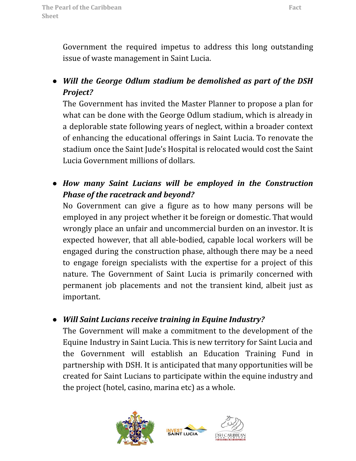Government the required impetus to address this long outstanding issue of waste management in Saint Lucia.

# *● Will the George Odlum stadium be demolished as part of the DSH Project?*

The Government has invited the Master Planner to propose a plan for what can be done with the George Odlum stadium, which is already in a deplorable state following years of neglect, within a broader context of enhancing the educational offerings in Saint Lucia. To renovate the stadium once the Saint Jude's Hospital is relocated would cost the Saint Lucia Government millions of dollars.

*● How many Saint Lucians will be employed in the Construction Phase of the racetrack and beyond?*

No Government can give a figure as to how many persons will be employed in any project whether it be foreign or domestic. That would wrongly place an unfair and uncommercial burden on an investor. It is expected however, that all able-bodied, capable local workers will be engaged during the construction phase, although there may be a need to engage foreign specialists with the expertise for a project of this nature. The Government of Saint Lucia is primarily concerned with permanent job placements and not the transient kind, albeit just as important.

#### *● Will Saint Lucians receive training in Equine Industry?*

The Government will make a commitment to the development of the Equine Industry in Saint Lucia. This is new territory for Saint Lucia and the Government will establish an Education Training Fund in partnership with DSH. It is anticipated that many opportunities will be created for Saint Lucians to participate within the equine industry and the project (hotel, casino, marina etc) as a whole.

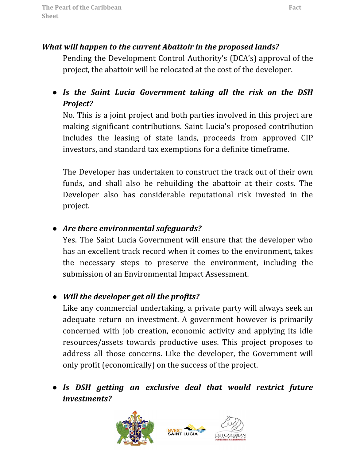#### *What will happen to the current Abattoir in the proposed lands?*

Pending the Development Control Authority's (DCA's) approval of the project, the abattoir will be relocated at the cost of the developer.

*● Is the Saint Lucia Government taking all the risk on the DSH Project?*

No. This is a joint project and both parties involved in this project are making significant contributions. Saint Lucia's proposed contribution includes the leasing of state lands, proceeds from approved CIP investors, and standard tax exemptions for a definite timeframe.

The Developer has undertaken to construct the track out of their own funds, and shall also be rebuilding the abattoir at their costs. The Developer also has considerable reputational risk invested in the project.

# *● Are there environmental safeguards?*

Yes. The Saint Lucia Government will ensure that the developer who has an excellent track record when it comes to the environment, takes the necessary steps to preserve the environment, including the submission of an Environmental Impact Assessment.

# *● Will the developer get all the profits?*

Like any commercial undertaking, a private party will always seek an adequate return on investment. A government however is primarily concerned with job creation, economic activity and applying its idle resources/assets towards productive uses. This project proposes to address all those concerns. Like the developer, the Government will only profit (economically) on the success of the project.

*● Is DSH getting an exclusive deal that would restrict future investments?*



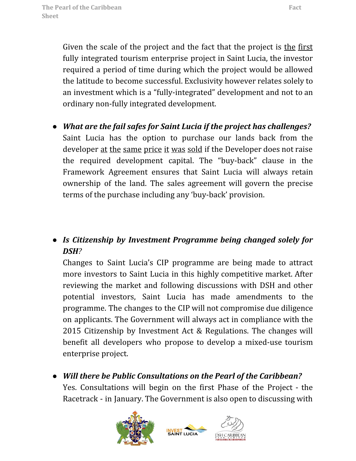Given the scale of the project and the fact that the project is the first fully integrated tourism enterprise project in Saint Lucia, the investor required a period of time during which the project would be allowed the latitude to become successful. Exclusivity however relates solely to an investment which is a "fully-integrated" development and not to an ordinary non-fully integrated development.

*● What are the fail safes for Saint Lucia if the project has challenges?* Saint Lucia has the option to purchase our lands back from the developer at the same price it was sold if the Developer does not raise the required development capital. The "buy-back" clause in the Framework Agreement ensures that Saint Lucia will always retain ownership of the land. The sales agreement will govern the precise terms of the purchase including any 'buy-back' provision.

### *● Is Citizenship by Investment Programme being changed solely for DSH?*

Changes to Saint Lucia's CIP programme are being made to attract more investors to Saint Lucia in this highly competitive market. After reviewing the market and following discussions with DSH and other potential investors, Saint Lucia has made amendments to the programme. The changes to the CIP will not compromise due diligence on applicants. The Government will always act in compliance with the 2015 Citizenship by Investment Act & Regulations. The changes will benefit all developers who propose to develop a mixed-use tourism enterprise project.

*● Will there be Public Consultations on the Pearl of the Caribbean?* Yes. Consultations will begin on the first Phase of the Project - the Racetrack - in January. The Government is also open to discussing with



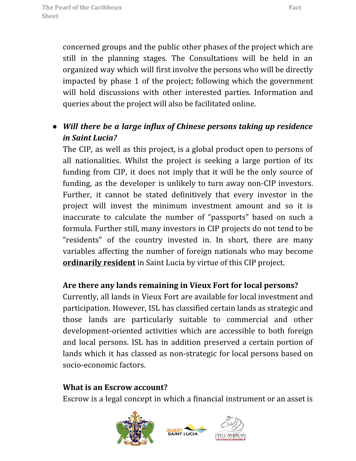concerned groups and the public other phases of the project which are still in the planning stages. The Consultations will be held in an organized way which will first involve the persons who will be directly impacted by phase 1 of the project; following which the government will hold discussions with other interested parties. Information and queries about the project will also be facilitated online.

# *● Will there be a large influx of Chinese persons taking up residence in Saint Lucia?*

The CIP, as well as this project, is a global product open to persons of all nationalities. Whilst the project is seeking a large portion of its funding from CIP, it does not imply that it will be the only source of funding, as the developer is unlikely to turn away non-CIP investors. Further, it cannot be stated definitively that every investor in the project will invest the minimum investment amount and so it is inaccurate to calculate the number of "passports" based on such a formula. Further still, many investors in CIP projects do not tend to be "residents" of the country invested in. In short, there are many variables affecting the number of foreign nationals who may become **ordinarily resident** in Saint Lucia by virtue of this CIP project.

#### **Are there any lands remaining in Vieux Fort for local persons?**

Currently, all lands in Vieux Fort are available for local investment and participation. However, ISL has classified certain lands as strategic and those lands are particularly suitable to commercial and other development-oriented activities which are accessible to both foreign and local persons. ISL has in addition preserved a certain portion of lands which it has classed as non-strategic for local persons based on socio-economic factors.

#### **What is an Escrow account?**

Escrow is a legal concept in which a financial instrument or an asset is



**INVEST SAINT LUCIA**